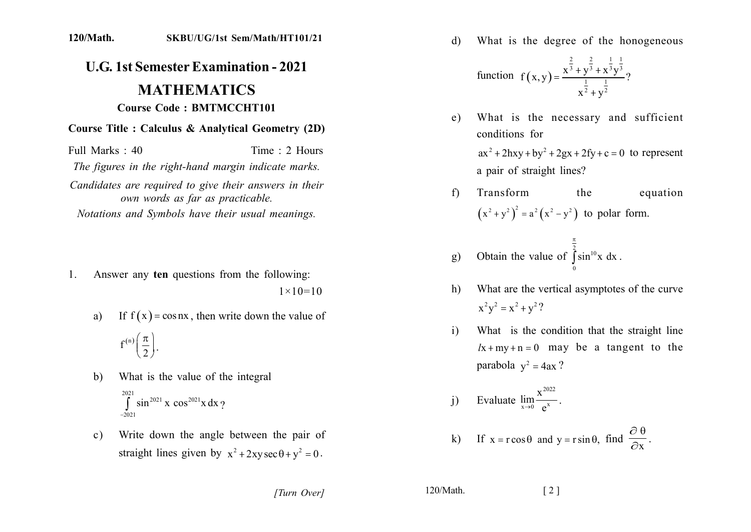## **120/Math. SKBU/UG/1st Sem/Math/HT101/21**

## **U.G. 1st Semester Examination - 2021 MATHEMATICS Course Code: BMTMCCHT101**

## **Course Title : Calculus & Analytical Geometry (2D)**

Full Marks: 40 Time: 2 Hours

The figures in the right-hand margin indicate marks.

Candidates are required to give their answers in their *own words as far as practicable. Notations and Symbols have their usual meanings.* 

- 1. Answer any ten questions from the following:  $1 \times 10 = 10$ 
	- a) If  $f(x) = \cos nx$ , then write down the value of  $f^{(n)}$  $\left(\frac{\pi}{2}\right)$ .
	- b) What is the value of the integral  $\int_{0}^{2021} \sin^{2021} x \cos^{2021} x dx$ ?  $-2021$
	- c) Write down the angle between the pair of straight lines given by  $x^2 + 2xy \sec \theta + y^2 = 0$ .

d) What is the degree of the honogeneous

function 
$$
f(x,y) = \frac{x^{\frac{2}{3}} + y^{\frac{2}{3}} + x^{\frac{1}{3}}y^{\frac{1}{3}}}{x^{\frac{1}{2}} + y^{\frac{1}{2}}}
$$
?

- e) What is the necessary and sufficient conditions for  $ax^{2}$  + 2hxy + by<sup>2</sup> + 2gx + 2fy + c = 0 to represent a pair of straight lines?
- f) Transform the equation  $(x^2 + y^2)^2 = a^2 (x^2 - y^2)$  to polar form.

 $\pi$ 

g) Obtain the value of 
$$
\int_{0}^{\frac{\pi}{2}} \sin^{10} x \, dx
$$
.

- h) What are the vertical asymptotes of the curve  $x^2y^2 = x^2 + y^2?$
- i) What is the condition that the straight line  $lx + my + n = 0$  may be a tangent to the parabola  $y^2 = 4ax$ ?

j) Evaluate 
$$
\lim_{x \to 0} \frac{x^{2022}}{e^x}.
$$

k) If 
$$
x = r \cos \theta
$$
 and  $y = r \sin \theta$ , find  $\frac{\partial \theta}{\partial x}$ .

*[2] [2] [2] [2] [2] [2] [2] [2] [2] [2] [2] [2] [2] [2] [2] [2] [2] [2] [2] [2] [2] [2] [2] [2] [2] [2] [2] [2] [2] [2] [2] [2] [2] [2] [2] [2] [2]*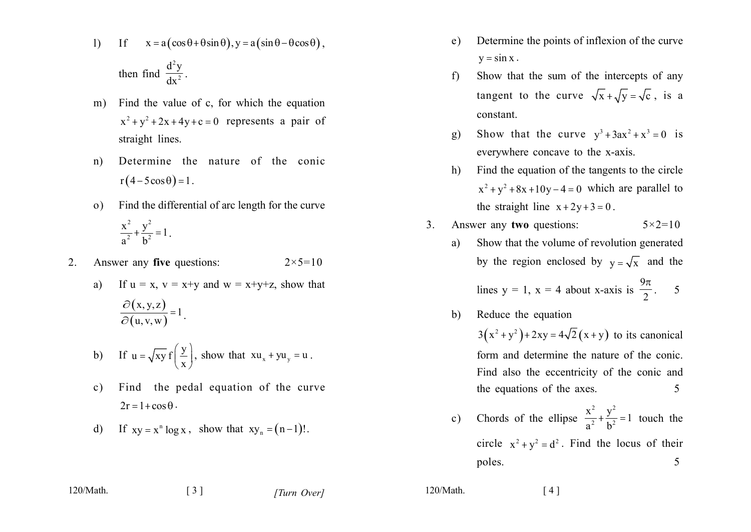$x = a(\cos\theta + \theta\sin\theta), y = a(\sin\theta - \theta\cos\theta)$ ,  $1)$ If

then find 
$$
\frac{d^2y}{dx^2}
$$

- Find the value of c, for which the equation m)  $x^2 + y^2 + 2x + 4y + c = 0$  represents a pair of straight lines.
- Determine the nature of the conic  $n)$  $r(4-5\cos\theta)=1$ .
- Find the differential of arc length for the curve  $\Omega$ )  $\frac{x^2}{a^2} + \frac{y^2}{b^2} = 1$ .
- Answer any five questions:  $2<sub>1</sub>$  $2 \times 5 = 10$ 
	- If  $u = x$ ,  $v = x+y$  and  $w = x+y+z$ , show that a)  $\frac{\partial (x,y,z)}{\partial (u,w,w)} = 1.$
	- b) If  $u = \sqrt{xy} f\left(\frac{y}{x}\right)$ , show that  $x u_x + y u_y = u$ .
	- Find the pedal equation of the curve  $c)$  $2r = 1 + \cos \theta$ .
	- If  $xy = x^n \log x$ , show that  $xy_n = (n-1)!$ .  $d)$

 $\begin{bmatrix} 3 \end{bmatrix}$ 

- Determine the points of inflexion of the curve.  $e)$  $y = \sin x$ .
- Show that the sum of the intercepts of any  $f$ tangent to the curve  $\sqrt{x} + \sqrt{y} = \sqrt{c}$ , is a constant.
- Show that the curve  $y^3 + 3ax^2 + x^3 = 0$  is  $g)$ everywhere concave to the x-axis.
- Find the equation of the tangents to the circle h)  $x^2 + y^2 + 8x + 10y - 4 = 0$  which are parallel to the straight line  $x + 2y + 3 = 0$ .
- $3<sub>l</sub>$ Answer any two questions:  $5 \times 2 = 10$ 
	- Show that the volume of revolution generated a) by the region enclosed by  $y = \sqrt{x}$  and the lines y = 1, x = 4 about x-axis is  $\frac{9\pi}{2}$ . 5
	- b) Reduce the equation

 $3(x^2+y^2)+2xy=4\sqrt{2}(x+y)$  to its canonical form and determine the nature of the conic. Find also the eccentricity of the conic and the equations of the axes. 5

Chords of the ellipse  $\frac{x^2}{a^2} + \frac{y^2}{b^2} = 1$  touch the  $\mathbf{c})$ circle  $x^2 + y^2 = d^2$ . Find the locus of their 5 poles.

 $120/M$ ath

 $120/M$ ath